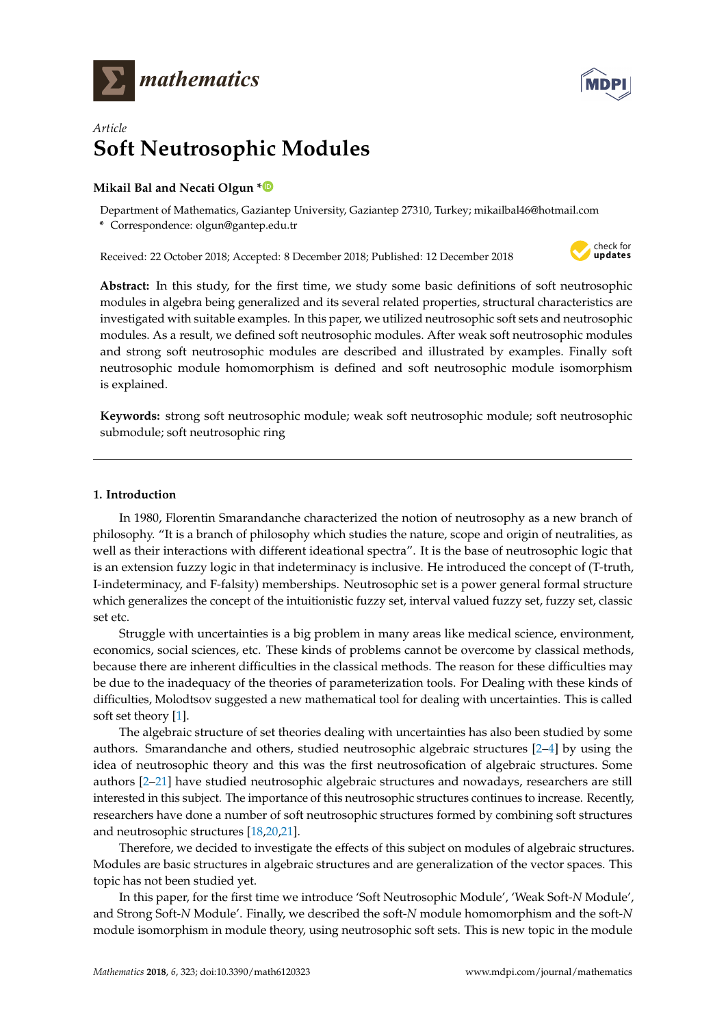



# *Article* **Soft Neutrosophic Modules**

## **Mikail Bal and Necati Olgun [\\*](https://orcid.org/0000-0001-6683-126X)**

Department of Mathematics, Gaziantep University, Gaziantep 27310, Turkey; mikailbal46@hotmail.com

**\*** Correspondence: olgun@gantep.edu.tr

Received: 22 October 2018; Accepted: 8 December 2018; Published: 12 December 2018



**Abstract:** In this study, for the first time, we study some basic definitions of soft neutrosophic modules in algebra being generalized and its several related properties, structural characteristics are investigated with suitable examples. In this paper, we utilized neutrosophic soft sets and neutrosophic modules. As a result, we defined soft neutrosophic modules. After weak soft neutrosophic modules and strong soft neutrosophic modules are described and illustrated by examples. Finally soft neutrosophic module homomorphism is defined and soft neutrosophic module isomorphism is explained.

**Keywords:** strong soft neutrosophic module; weak soft neutrosophic module; soft neutrosophic submodule; soft neutrosophic ring

## <span id="page-0-0"></span>**1. Introduction**

In 1980, Florentin Smarandanche characterized the notion of neutrosophy as a new branch of philosophy. "It is a branch of philosophy which studies the nature, scope and origin of neutralities, as well as their interactions with different ideational spectra". It is the base of neutrosophic logic that is an extension fuzzy logic in that indeterminacy is inclusive. He introduced the concept of (T-truth, I-indeterminacy, and F-falsity) memberships. Neutrosophic set is a power general formal structure which generalizes the concept of the intuitionistic fuzzy set, interval valued fuzzy set, fuzzy set, classic set etc.

Struggle with uncertainties is a big problem in many areas like medical science, environment, economics, social sciences, etc. These kinds of problems cannot be overcome by classical methods, because there are inherent difficulties in the classical methods. The reason for these difficulties may be due to the inadequacy of the theories of parameterization tools. For Dealing with these kinds of difficulties, Molodtsov suggested a new mathematical tool for dealing with uncertainties. This is called soft set theory [\[1\]](#page-6-0).

The algebraic structure of set theories dealing with uncertainties has also been studied by some authors. Smarandanche and others, studied neutrosophic algebraic structures [\[2–](#page-6-1)[4\]](#page-6-2) by using the idea of neutrosophic theory and this was the first neutrosofication of algebraic structures. Some authors [\[2](#page-6-1)[–21\]](#page-7-0) have studied neutrosophic algebraic structures and nowadays, researchers are still interested in this subject. The importance of this neutrosophic structures continues to increase. Recently, researchers have done a number of soft neutrosophic structures formed by combining soft structures and neutrosophic structures [\[18,](#page-6-3)[20,](#page-7-1)[21\]](#page-7-0).

Therefore, we decided to investigate the effects of this subject on modules of algebraic structures. Modules are basic structures in algebraic structures and are generalization of the vector spaces. This topic has not been studied yet.

In this paper, for the first time we introduce 'Soft Neutrosophic Module', 'Weak Soft-*N* Module', and Strong Soft-*N* Module'. Finally, we described the soft-*N* module homomorphism and the soft-*N* module isomorphism in module theory, using neutrosophic soft sets. This is new topic in the module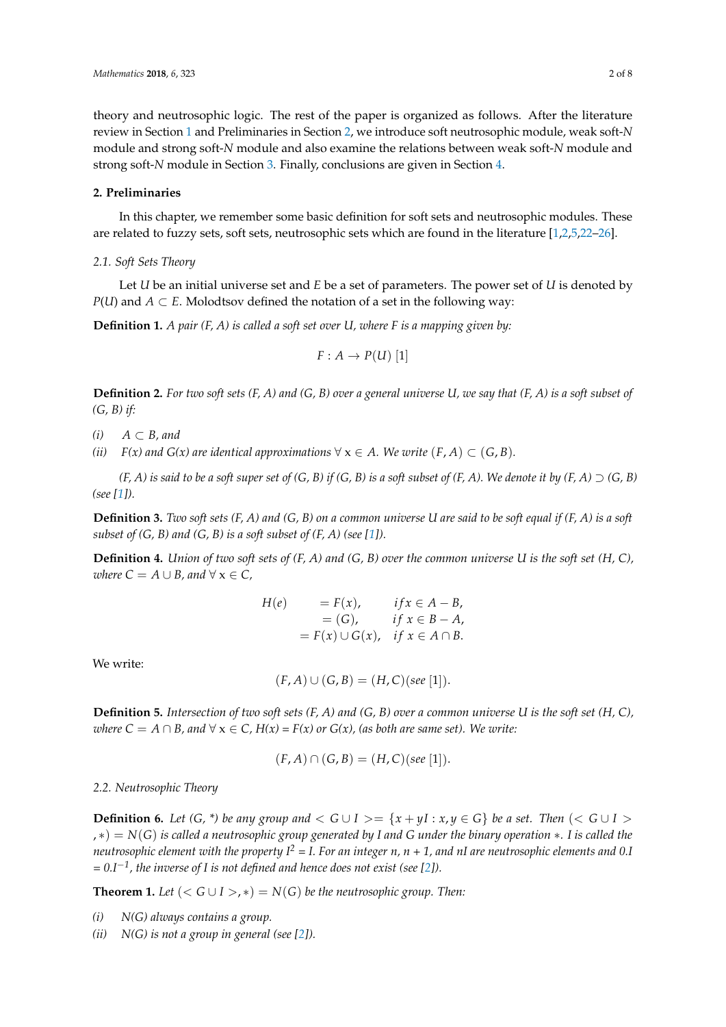theory and neutrosophic logic. The rest of the paper is organized as follows. After the literature review in Section [1](#page-0-0) and Preliminaries in Section [2,](#page-1-0) we introduce soft neutrosophic module, weak soft-*N* module and strong soft-*N* module and also examine the relations between weak soft-*N* module and strong soft-*N* module in Section [3.](#page-2-0) Finally, conclusions are given in Section [4.](#page-6-4)

### <span id="page-1-0"></span>**2. Preliminaries**

In this chapter, we remember some basic definition for soft sets and neutrosophic modules. These are related to fuzzy sets, soft sets, neutrosophic sets which are found in the literature [\[1,](#page-6-0)[2,](#page-6-1)[5](#page-6-5)[,22–](#page-7-2)[26\]](#page-7-3).

#### *2.1. Soft Sets Theory*

Let *U* be an initial universe set and *E* be a set of parameters. The power set of *U* is denoted by *P*(*U*) and *A* ⊂ *E*. Molodtsov defined the notation of a set in the following way:

**Definition 1.** *A pair (F, A) is called a soft set over U, where F is a mapping given by:*

$$
F: A \to P(U) [1]
$$

**Definition 2.** *For two soft sets (F, A) and (G, B) over a general universe U, we say that (F, A) is a soft subset of (G, B) if:*

*(i) A* ⊂ *B, and*

*(ii)*  $F(x)$  and  $G(x)$  are identical approximations  $\forall x \in A$ . We write  $(F, A) \subset (G, B)$ .

 $(F, A)$  is said to be a soft super set of  $(G, B)$  if  $(G, B)$  is a soft subset of  $(F, A)$ . We denote it by  $(F, A) \supset (G, B)$ *(see [\[1\]](#page-6-0)).*

**Definition 3.** *Two soft sets (F, A) and (G, B) on a common universe U are said to be soft equal if (F, A) is a soft subset of (G, B) and (G, B) is a soft subset of (F, A) (see [\[1\]](#page-6-0)).* 

**Definition 4.** *Union of two soft sets of (F, A) and (G, B) over the common universe U is the soft set (H, C), where*  $C = A \cup B$ *, and*  $\forall x \in C$ *,* 

$$
H(e) = F(x), \quad if x \in A - B,
$$
  
= (G), \quad if x \in B - A,  
= F(x) \cup G(x), \quad if x \in A \cap B.

We write:

$$
(F, A) \cup (G, B) = (H, C)(see [1]).
$$

**Definition 5.** *Intersection of two soft sets (F, A) and (G, B) over a common universe U is the soft set (H, C), where*  $C = A \cap B$ , and  $\forall x \in C$ ,  $H(x) = F(x)$  or  $G(x)$ , (as both are same set). We write:

$$
(F, A) \cap (G, B) = (H, C)(see [1]).
$$

*2.2. Neutrosophic Theory*

**Definition 6.** Let  $(G, * )$  be any group and  $G \cup I \ge \{x + yI : x, y \in G\}$  be a set. Then  $(G \cup I \ge$ , ∗) = *N*(*G*) *is called a neutrosophic group generated by I and G under the binary operation* ∗*. I is called the neutrosophic element with the property I<sup>2</sup> = I. For an integer n, n + 1, and nI are neutrosophic elements and 0.I = 0.I*−*<sup>1</sup> , the inverse of I is not defined and hence does not exist (see [\[2\]](#page-6-1)).*

**Theorem 1.** Let  $(*G* \cup *I* >, *) = N(*G*)$  *be the neutrosophic group. Then:* 

- *(i) N(G) always contains a group.*
- *(ii) N(G) is not a group in general (see [\[2\]](#page-6-1)).*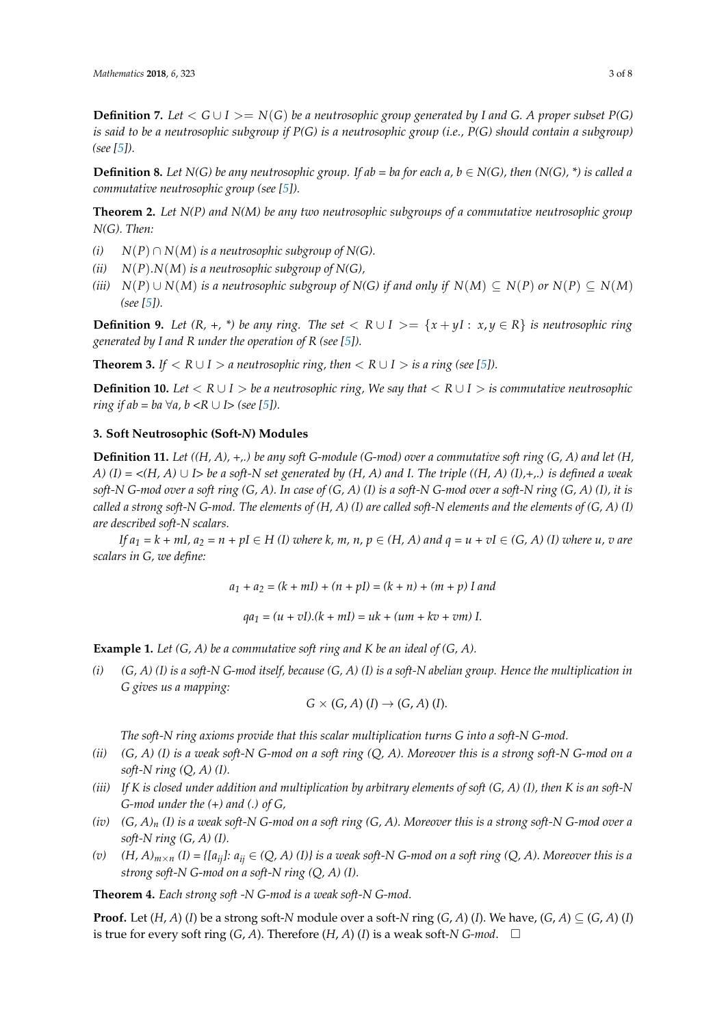**Definition 7.** *Let*  $\lt G \cup I \gt \gt = N(G)$  *be a neutrosophic group generated by I and G. A proper subset P(G) is said to be a neutrosophic subgroup if P(G) is a neutrosophic group (i.e., P(G) should contain a subgroup) (see [\[5\]](#page-6-5)).*

**Definition 8.** *Let*  $N(G)$  *be any neutrosophic group. If ab = ba for each a, b*  $\in$   $N(G)$ *, then*  $(N(G), *)$  *is called a commutative neutrosophic group (see [\[5\]](#page-6-5)).*

**Theorem 2.** *Let N(P) and N(M) be any two neutrosophic subgroups of a commutative neutrosophic group N(G). Then:*

- *(i)*  $N(P) ∩ N(M)$  *is a neutrosophic subgroup of N(G).*
- *(ii) N*(*P*).*N*(*M*) *is a neutrosophic subgroup of N(G),*
- *(iii)*  $N(P) \cup N(M)$  *is a neutrosophic subgroup of*  $N(G)$  *if and only if*  $N(M) \subseteq N(P)$  *or*  $N(P) \subseteq N(M)$ *(see [\[5\]](#page-6-5)).*

**Definition 9.** Let  $(R, +, *)$  be any ring. The set  $R \cup I \ge \{x + yI : x, y \in R\}$  is neutrosophic ring *generated by I and R under the operation of R (see [\[5\]](#page-6-5)).*

**Theorem 3.** *If*  $\langle R \cup I \rangle$  *a neutrosophic ring, then*  $\langle R \cup I \rangle$  *is a ring (see [\[5\]](#page-6-5)).* 

**Definition 10.** Let  $\langle R \cup I \rangle$  be a neutrosophic ring, We say that  $\langle R \cup I \rangle$  is commutative neutrosophic *ring if ab = ba*  $\forall a, b \lt R \cup I$  *> (see [\[5\]](#page-6-5)).* 

#### <span id="page-2-0"></span>**3. Soft Neutrosophic (Soft-***N***) Modules**

**Definition 11.** *Let ((H, A), +,.) be any soft G-module (G-mod) over a commutative soft ring (G, A) and let (H, A)*  $(I) = \langle (H, A) \cup I \rangle$  *be a soft-N set generated by*  $(H, A)$  *and I. The triple*  $((H, A) (I), +, .)$  *is defined a weak soft-N G-mod over a soft ring (G, A). In case of (G, A) (I) is a soft-N G-mod over a soft-N ring (G, A) (I), it is called a strong soft-N G-mod. The elements of (H, A) (I) are called soft-N elements and the elements of (G, A) (I) are described soft-N scalars.*

*If*  $a_1 = k + mI$ ,  $a_2 = n + pI \in H$  *(I) where k, m, n, p*  $\in$  *(H, A) and*  $q = u + vI \in (G, A)$  *(I) where u, v are scalars in G, we define:*

 $a_1 + a_2 = (k + mI) + (n + pI) = (k + n) + (m + p)$  I and

 $qa_1 = (u + vI) \cdot (k + mI) = uk + (um + kv + vm) I.$ 

**Example 1.** *Let (G, A) be a commutative soft ring and K be an ideal of (G, A).*

*(i) (G, A) (I) is a soft-N G-mod itself, because (G, A) (I) is a soft-N abelian group. Hence the multiplication in G gives us a mapping:*

$$
G \times (G, A) (I) \rightarrow (G, A) (I).
$$

*The soft-N ring axioms provide that this scalar multiplication turns G into a soft-N G-mod.*

- *(ii) (G, A) (I) is a weak soft-N G-mod on a soft ring (Q, A). Moreover this is a strong soft-N G-mod on a soft-N ring (Q, A) (I).*
- *(iii) If K is closed under addition and multiplication by arbitrary elements of soft (G, A) (I), then K is an soft-N G-mod under the (+) and (.) of G,*
- *(iv) (G, A)<sup>n</sup> (I) is a weak soft-N G-mod on a soft ring (G, A). Moreover this is a strong soft-N G-mod over a soft-N ring (G, A) (I).*
- *(v)*  $(H, A)_{m \times n}$  *(I)* = { $[a_{ij}]$ *:*  $a_{ij} \in (Q, A)$  *(I)} is a weak soft-N G-mod on a soft ring*  $(Q, A)$ *. Moreover this is a strong soft-N G-mod on a soft-N ring (Q, A) (I).*

**Theorem 4.** *Each strong soft -N G-mod is a weak soft-N G-mod.*

**Proof.** Let  $(H, A)$  (*I*) be a strong soft-*N* module over a soft-*N* ring  $(G, A)$  (*I*). We have,  $(G, A) \subseteq (G, A)$  (*I*) is true for every soft ring  $(G, A)$ . Therefore  $(H, A)$   $(I)$  is a weak soft-*N G-mod*.  $\Box$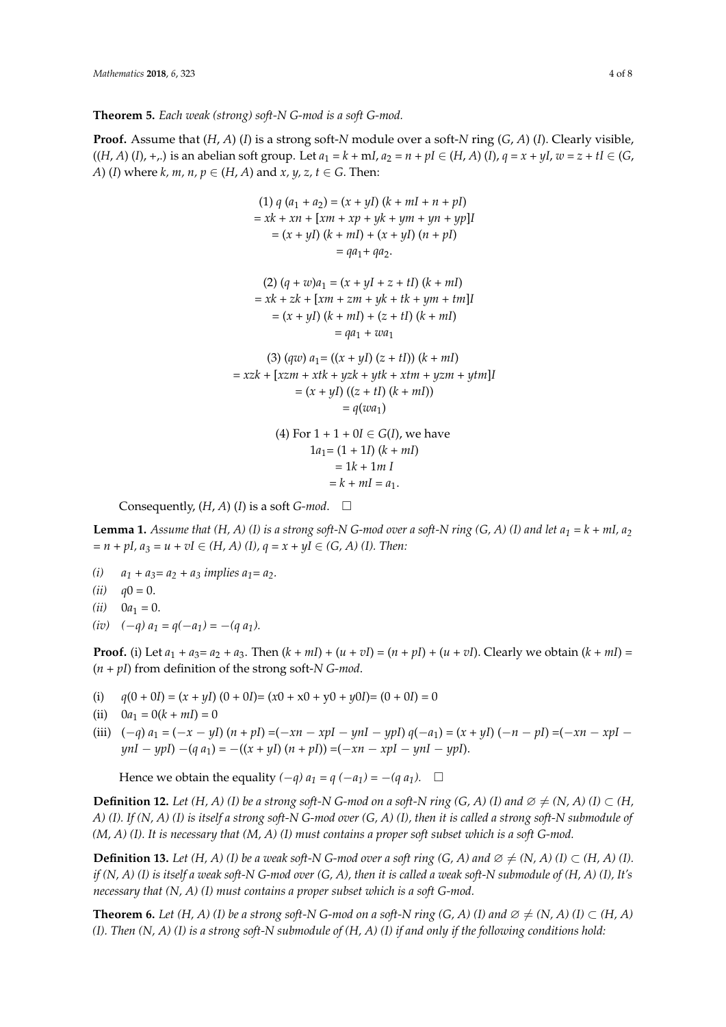**Theorem 5.** *Each weak (strong) soft-N G-mod is a soft G-mod.*

**Proof.** Assume that (*H*, *A*) (*I*) is a strong soft-*N* module over a soft-*N* ring (*G*, *A*) (*I*). Clearly visible,  $((H, A) (I), +, )$  is an abelian soft group. Let  $a_1 = k + mI$ ,  $a_2 = n + pI \in (H, A) (I)$ ,  $q = x + yI$ ,  $w = z + tI \in (G, A)$ *A*) (*I*) where *k*, *m*, *n*,  $p \in (H, A)$  and *x*, *y*, *z*, *t*  $\in$  *G*. Then:

(1) 
$$
q(a_1 + a_2) = (x + yI)(k + mI + n + pI)
$$
  
\n $= xk + xn + [xm + xp + yk + ym + yn + yp]I$   
\n $= (x + yI)(k + mI) + (x + yI)(n + pI)$   
\n $= qa_1 + qa_2.$   
\n(2)  $(q + w)a_1 = (x + yI + z + tI)(k + mI)$   
\n $= xk + zk + [xm + zm + yk + tk + ym + tm]I$   
\n $= (x + yI)(k + mI) + (z + tI)(k + mI)$   
\n $= qa_1 + wa_1$   
\n(3)  $(qw) a_1 = ((x + yI) (z + tI))(k + mI)$   
\n $= xzk + [xzm + xtk + yzk + ytk + xtm + yzm + ytm]I$   
\n $= (x + yI)((z + tI)(k + mI))$   
\n $= q(wa_1)$   
\n(4) For 1 + 1 + 0I  $\in G(I)$ , we have  
\n $1a_1 = (1 + 1I)(k + mI)$   
\n $= 1k + 1m I$   
\n $= k + mI = a_1.$ 

Consequently,  $(H, A)$   $(I)$  is a soft *G-mod*.  $\Box$ 

**Lemma 1.** Assume that  $(H, A)$  (I) is a strong soft-N G-mod over a soft-N ring  $(G, A)$  (I) and let  $a_1 = k + mI$ ,  $a_2$  $= n + pI, a_3 = u + vI \in (H, A)$  (I),  $q = x + yI \in (G, A)$  (I). Then:

- (*i*)  $a_1 + a_3 = a_2 + a_3$  *implies*  $a_1 = a_2$ *.*
- $(ii)$   $q0 = 0.$
- $(iii)$  0*a*<sub>1</sub> = 0.
- $(iv)$   $(-q) a_1 = q(-a_1) = -(q a_1).$

**Proof.** (i) Let  $a_1 + a_3 = a_2 + a_3$ . Then  $(k + ml) + (u + vl) = (n + pl) + (u + vl)$ . Clearly we obtain  $(k + ml) =$ (*n + pI*) from definition of the strong soft-*N G-mod*.

- (i)  $q(0 + 0I) = (x + yI)(0 + 0I) = (x0 + x0 + y0 + y0I) = (0 + 0I) = 0$
- (ii)  $0a_1 = 0(k + ml) = 0$
- (iii)  $(-q) a_1 = (-x yI) (n + p) = (-xn xpI ynI ypI) q(-a_1) = (x + yI) (-n pI) = (-xn xpI qI)$ *ynI* − *ypI*) −(*q a*<sub>1</sub>) = −((*x* + *yI*) (*n* + *pI*)) =(−*xn* − *xpI* − *ynI* − *ypI*).

Hence we obtain the equality  $(-q) a_1 = q (-a_1) = -(q a_1)$ .  $\square$ 

**Definition 12.** *Let*  $(H, A)$  (*I) be a strong soft-N G-mod on a soft-N ring*  $(G, A)$  *(<i>I)* and  $\emptyset \neq (N, A)$  (*I)*  $\subset$   $(H,$ *A) (I). If (N, A) (I) is itself a strong soft-N G-mod over (G, A) (I), then it is called a strong soft-N submodule of (M, A) (I). It is necessary that (M, A) (I) must contains a proper soft subset which is a soft G-mod.*

**Definition 13.** *Let*  $(H, A)$  (*I) be a weak soft-N G-mod over a soft ring*  $(G, A)$  *and*  $\emptyset \neq (N, A)$  *(<i>I)* ⊂  $(H, A)$  (*I)*. *if (N, A) (I) is itself a weak soft-N G-mod over (G, A), then it is called a weak soft-N submodule of (H, A) (I), It's necessary that (N, A) (I) must contains a proper subset which is a soft G-mod.*

**Theorem 6.** *Let*  $(H, A)$  (I) be a strong soft-N G-mod on a soft-N ring  $(G, A)$  (I) and  $\emptyset \neq (N, A)$  (I)  $\subset (H, A)$ *(I). Then (N, A) (I) is a strong soft-N submodule of (H, A) (I) if and only if the following conditions hold:*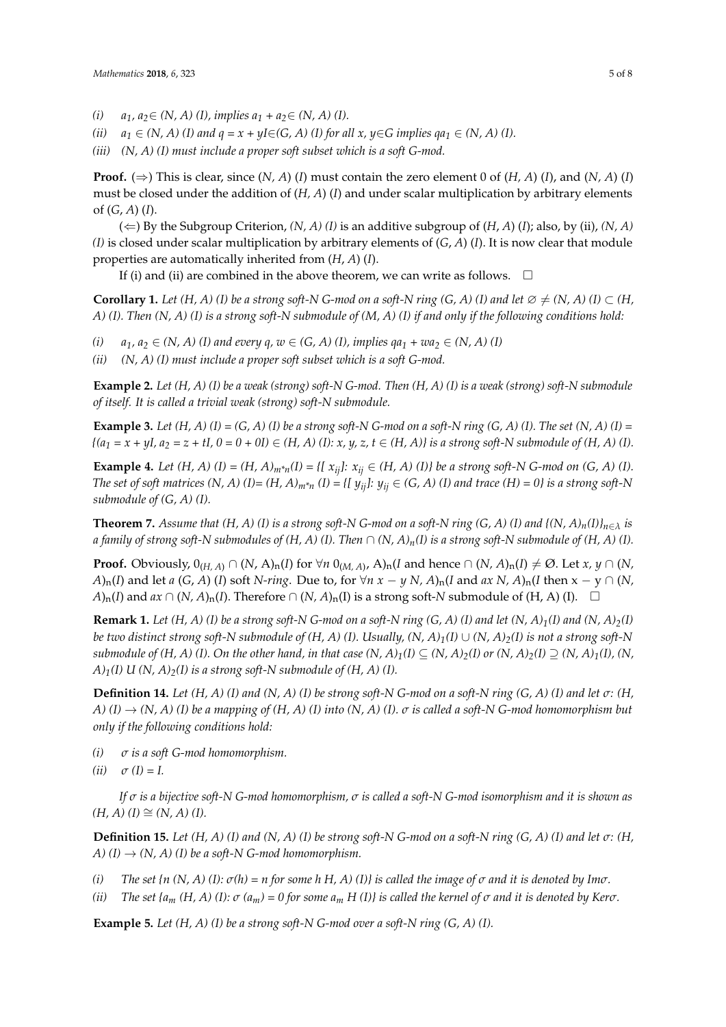- *(i) a*<sub>1</sub>*, a*<sub>2</sub>∈ *(N, A) (I), implies a*<sub>1</sub> + *a*<sub>2</sub>∈ *(N, A) (I).*
- *(ii)*  $a_1 \in (N, A)$  *(I)* and  $q = x + yI \in (G, A)$  *(I)* for all  $x, y \in G$  implies  $qa_1 \in (N, A)$  *(I).*
- *(iii) (N, A) (I) must include a proper soft subset which is a soft G-mod.*

**Proof.** ( $\Rightarrow$ ) This is clear, since  $(N, A)$  (*I*) must contain the zero element 0 of  $(H, A)$  (*I*), and  $(N, A)$  (*I*) must be closed under the addition of (*H, A*) (*I*) and under scalar multiplication by arbitrary elements of (*G*, *A*) (*I*).

 $(\Leftarrow)$  By the Subgroup Criterion,  $(N, A)$  (*I*) is an additive subgroup of  $(H, A)$  (*I*); also, by (ii),  $(N, A)$ *(I)* is closed under scalar multiplication by arbitrary elements of (*G*, *A*) (*I*). It is now clear that module properties are automatically inherited from (*H*, *A*) (*I*).

If (i) and (ii) are combined in the above theorem, we can write as follows.  $\Box$ 

**Corollary 1.** *Let*  $(H, A)$  (*I) be a strong soft-N G-mod on a soft-N ring*  $(G, A)$  *(<i>I) and let*  $\emptyset \neq (N, A)$  (*I)*  $\subset$   $(H,$ *A) (I). Then (N, A) (I) is a strong soft-N submodule of (M, A) (I) if and only if the following conditions hold:*

- *(i)*  $a_1, a_2 \in (N, A)$  *(I)* and every q,  $w \in (G, A)$  *(I)*, implies  $qa_1 + wa_2 \in (N, A)$  *(I)*
- *(ii) (N, A) (I) must include a proper soft subset which is a soft G-mod.*

**Example 2.** *Let (H, A) (I) be a weak (strong) soft-N G-mod. Then (H, A) (I) is a weak (strong) soft-N submodule of itself. It is called a trivial weak (strong) soft-N submodule.*

**Example 3.** *Let*  $(H, A)$   $(I) = (G, A)$   $(I)$  be a strong soft-N G-mod on a soft-N ring  $(G, A)$   $(I)$ . The set  $(N, A)$   $(I)$  =  ${(a_1 = x + yI, a_2 = z + tI, 0 = 0 + 0I) \in (H, A) (I): x, y, z, t \in (H, A)}$  is a strong soft-N submodule of  $(H, A) (I):$ 

**Example 4.** *Let*  $(H, A)$   $(I) = (H, A)_{m^*n}(I) = \{ [x_{ij}] : x_{ij} \in (H, A)$   $(I) \}$  be a strong soft-N G-mod on  $(G, A)$   $(I)$ . *The set of soft matrices (N, A) (I)= (H, A)* $_{m*n}$  *(I) = {[ y<sub>ij</sub>]: y<sub>ij</sub> ∈ (G, A) (I) and trace (H) = 0} is a strong soft-N submodule of (G, A) (I).*

**Theorem 7.** Assume that  $(H, A)$  (I) is a strong soft-N G-mod on a soft-N ring  $(G, A)$  (I) and  $\{(N, A)<sub>n</sub>(I)\}_{n \in \lambda}$  is *a family of strong soft-N submodules of*  $(H, A)$  *(I). Then*  $\cap$   $(N, A)_n(I)$  *is a strong soft-N submodule of*  $(H, A)$  *(I).* 

**Proof.** Obviously,  $0_{(H, A)} \cap (N, A)_{n}(I)$  for  $\forall n \ 0_{(M, A)}$ ,  $A)_{n}(I$  and hence  $\cap (N, A)_{n}(I) \neq \emptyset$ . Let  $x, y \cap (N, A)_{n}(I)$  $A$ )n(*I*) and let *a* (*G*, *A*) (*I*) soft *N-ring*. Due to, for  $\forall n \ x - y \ N$ ,  $A$ )n(*I* and  $ax \ N$ ,  $A$ )n(*I* then  $x - y \ \cap (N$ , *A*)<sub>n</sub>(*I*) and *ax* ∩ (*N, A*)<sub>n</sub>(*I*). Therefore ∩ (*N, A*)<sub>n</sub>(*I*) is a strong soft-*N* submodule of (H, A) (*I*). □

**Remark 1.** Let  $(H, A)$  (I) be a strong soft-N G-mod on a soft-N ring  $(G, A)$  (I) and let  $(N, A)<sub>1</sub>(I)$  and  $(N, A)<sub>2</sub>(I)$ *be two distinct strong soft-N submodule of*  $(H, A)$  *(I). Usually,*  $(N, A)_1(I) \cup (N, A)_2(I)$  *is not a strong soft-N submodule of (H, A) (I). On the other hand, in that case*  $(N, A)_1(I) \subseteq (N, A)_2(I)$  *or*  $(N, A)_2(I) \supseteq (N, A)_1(I)$ *,*  $(N, A)_2(I) \supseteq (N, A)_2(I)$  $A$ <sub>*1</sub>*(*I*) *U* (*N*, *A*)<sub>*2*</sub>(*I*) *is a strong soft-N submodule of (H, A)* (*I*).</sub>

**Definition 14.** *Let (H, A) (I) and (N, A) (I) be strong soft-N G-mod on a soft-N ring (G, A) (I) and let σ: (H, A) (I)* → *(N, A) (I) be a mapping of (H, A) (I) into (N, A) (I). σ is called a soft-N G-mod homomorphism but only if the following conditions hold:*

*(i) σ is a soft G-mod homomorphism.*

$$
(ii) \quad \sigma(I) = I.
$$

*If σ is a bijective soft-N G-mod homomorphism, σ is called a soft-N G-mod isomorphism and it is shown as*  $(H, A)$   $(I) \cong (N, A)$   $(I)$ .

**Definition 15.** *Let (H, A) (I) and (N, A) (I) be strong soft-N G-mod on a soft-N ring (G, A) (I) and let σ: (H, A)*  $(I) \rightarrow (N, A)$   $(I)$  be a soft-N G-mod homomorphism.

- *(i) The set {n (N, A) (I):*  $\sigma(h) = n$  *for some h H, A) (I)} is called the image of*  $\sigma$  *and it is denoted by Im* $\sigma$ *.*
- *(ii) The set {a<sub>m</sub> (H, A) (I):*  $\sigma$  *(a<sub>m</sub>) = 0 for some a<sub>m</sub> H (I)} is called the kernel of*  $\sigma$  *and it is denoted by Ker* $\sigma$ *.*

**Example 5.** *Let (H, A) (I) be a strong soft-N G-mod over a soft-N ring (G, A) (I).*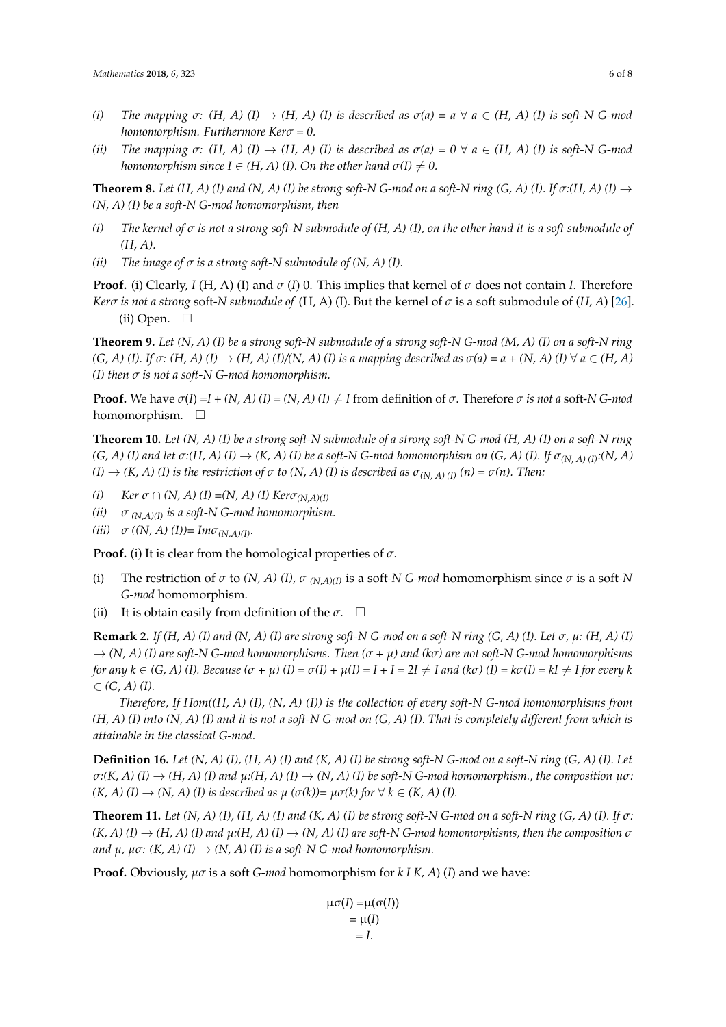- *(i) The mapping*  $\sigma$ :  $(H, A)$   $(I) \rightarrow (H, A)$   $(I)$  *is described as*  $\sigma(a) = a \ \forall \ a \in (H, A)$   $(I)$  *is soft-N G-mod homomorphism. Furthermore Kerσ = 0.*
- *(ii) The mapping*  $\sigma$ :  $(H, A)$   $(I) \rightarrow (H, A)$   $(I)$  is described as  $\sigma(a) = 0 \ \forall \ a \in (H, A)$   $(I)$  is soft-N G-mod *homomorphism since*  $I \in (H, A)$  *(I). On the other hand*  $\sigma(I) \neq 0$ .

**Theorem 8.** *Let*  $(H, A)$  (I) and  $(N, A)$  (I) be strong soft-N G-mod on a soft-N ring  $(G, A)$  (I). If  $\sigma$ : $(H, A)$  (I)  $\rightarrow$ *(N, A) (I) be a soft-N G-mod homomorphism, then*

- *(i) The kernel of σ is not a strong soft-N submodule of (H, A) (I), on the other hand it is a soft submodule of (H, A).*
- *(ii) The image of*  $\sigma$  *is a strong soft-N submodule of (N, A) (I).*

**Proof.** (i) Clearly, *I* (H, A) (I) and *σ* (*I*) 0. This implies that kernel of *σ* does not contain *I*. Therefore *Kerσ is not a strong* soft-*N submodule of* (H, A) (I). But the kernel of *σ* is a soft submodule of (*H, A*) [\[26\]](#page-7-3). (ii) Open.  $\Box$ 

**Theorem 9.** *Let (N, A) (I) be a strong soft-N submodule of a strong soft-N G-mod (M, A) (I) on a soft-N ring*  $(G, A)$  (I). If  $\sigma$ :  $(H, A)$  (I)  $\rightarrow$   $(H, A)$  (I)/(N, A) (I) is a mapping described as  $\sigma$ (a) = a + (N, A) (I)  $\forall$  a  $\in$  (H, A) *(I) then σ is not a soft-N G-mod homomorphism.*

**Proof.** We have  $\sigma(I) = I + (N, A)$  (I) =  $(N, A)$  (I)  $\neq I$  from definition of  $\sigma$ . Therefore  $\sigma$  *is not a* soft-*N G-mod* homomorphism.  $\square$ 

**Theorem 10.** *Let (N, A) (I) be a strong soft-N submodule of a strong soft-N G-mod (H, A) (I) on a soft-N ring*  $(G, A)$  (I) and let  $\sigma: (H, A)$  (I)  $\rightarrow$   $(K, A)$  (I) be a soft-N G-mod homomorphism on  $(G, A)$  (I). If  $\sigma_{(N, A)}$  ( $(N, A)$ )  $(I) \rightarrow (K, A)$  *(I) is the restriction of*  $\sigma$  *to*  $(N, A)$  *(I) is described as*  $\sigma_{(N, A)(I)}$   $(n) = \sigma(n)$ *. Then:* 

- *(i) Ker*  $\sigma \cap (N, A)$  *(I)* =  $(N, A)$  *(I) Ker* $\sigma_{(N, A)(I)}$
- *(ii)*  $\sigma$   $_{(N,A)(I)}$  *is a soft-N G-mod homomorphism.*
- *(iii)*  $\sigma$  *((N, A) (I))* =  $Im \sigma_{(N,A)(I)}$ *.*

**Proof.** (i) It is clear from the homological properties of *σ*.

- (i) The restriction of  $\sigma$  to  $(N, A)$  (I),  $\sigma_{(N, A)(I)}$  is a soft-N *G-mod* homomorphism since  $\sigma$  is a soft-N *G-mod* homomorphism.
- (ii) It is obtain easily from definition of the  $\sigma$ .  $\Box$

**Remark 2.** *If* (H, A) (I) and (N, A) (I) are strong soft-N G-mod on a soft-N ring (G, A) (I). Let  $\sigma$ ,  $\mu$ : (H, A) (I)  $\rightarrow$  *(N, A) (I) are soft-N G-mod homomorphisms. Then*  $(\sigma + \mu)$  *and (k* $\sigma$ *) are not soft-N G-mod homomorphisms* for any  $k \in (G, A)$  (1). Because  $(\sigma + \mu)(I) = \sigma(I) + \mu(I) = I + I = 2I \neq I$  and  $(k\sigma)(I) = k\sigma(I) = kI \neq I$  for every k  $\in$   $(G, A)$   $(I)$ .

*Therefore, If Hom((H, A) (I), (N, A) (I)) is the collection of every soft-N G-mod homomorphisms from (H, A) (I) into (N, A) (I) and it is not a soft-N G-mod on (G, A) (I). That is completely different from which is attainable in the classical G-mod.*

**Definition 16.** *Let (N, A) (I), (H, A) (I) and (K, A) (I) be strong soft-N G-mod on a soft-N ring (G, A) (I). Let*  $\sigma$ <sup>*:*(K, A) (I)  $\rightarrow$  *(H, A) (I)* and  $\mu$ *:*(H, A) (I)  $\rightarrow$  *(N, A) (I)* be soft-N G-mod homomorphism., the composition  $\mu \sigma$ *:*</sup>  $(K, A)$   $(I) \rightarrow (N, A)$   $(I)$  *is described as*  $\mu$   $(\sigma(k)) = \mu \sigma(k)$  *for*  $\forall$   $k \in (K, A)$   $(I)$ *.* 

**Theorem 11.** *Let*  $(N, A)$  (I),  $(H, A)$  (I) and  $(K, A)$  (I) be strong soft-N G-mod on a soft-N ring  $(G, A)$  (I). If  $\sigma$ :  $(K, A)$  (I)  $\rightarrow$   $(H, A)$  (I) and  $\mu$ : $(H, A)$  (I)  $\rightarrow$   $(N, A)$  (I) are soft-N G-mod homomorphisms, then the composition  $\sigma$ *and*  $\mu$ ,  $\mu \sigma$ : (K, A) (I)  $\rightarrow$  (N, A) (I) is a soft-N G-mod homomorphism.

**Proof.** Obviously, *µσ* is a soft *G-mod* homomorphism for *k I K, A*) (*I*) and we have:

µσ(*I*) =µ(σ(*I*))  $= \mu(I)$  $= I$ .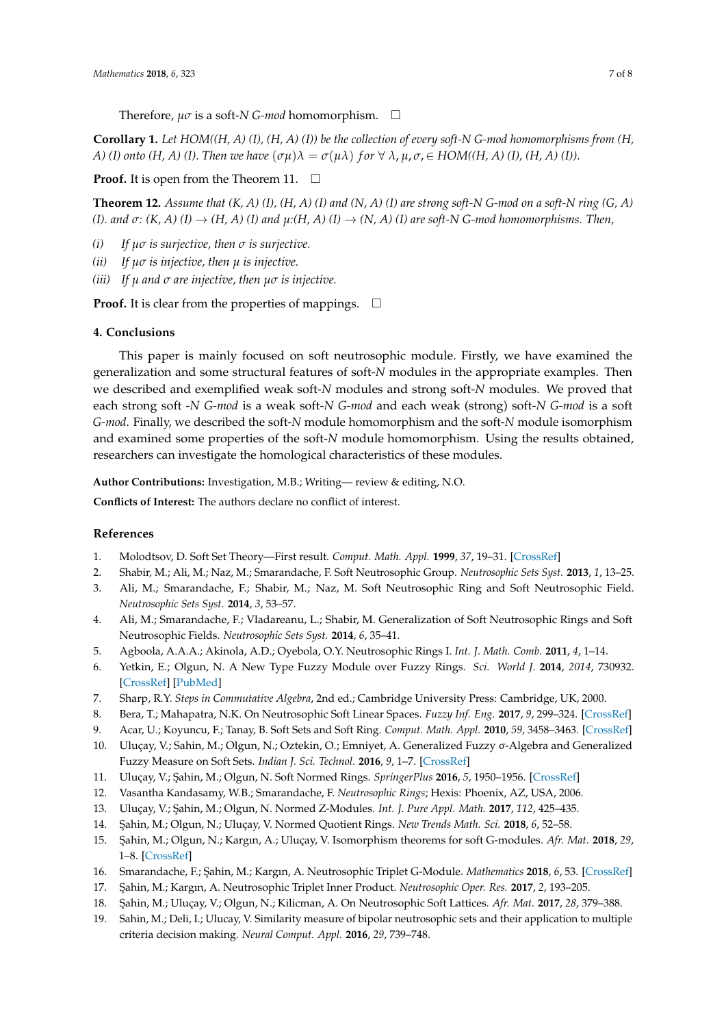Therefore, *µσ* is a soft-*N G-mod* homomorphism.

**Corollary 1.** *Let HOM((H, A) (I), (H, A) (I)) be the collection of every soft-N G-mod homomorphisms from (H, A)* (I) onto (H, A) (I). Then we have  $(\sigma \mu) \lambda = \sigma(\mu \lambda)$  for  $\forall \lambda, \mu, \sigma \in HOM((H, A) (I), (H, A) (I)).$ 

**Proof.** It is open from the Theorem 11.  $\Box$ 

**Theorem 12.** *Assume that (K, A) (I), (H, A) (I) and (N, A) (I) are strong soft-N G-mod on a soft-N ring (G, A) (I). and*  $\sigma$ :  $(K, A)$  *(I)*  $\rightarrow$   $(H, A)$  *(I)* and  $\mu$ : $(H, A)$  *(I)*  $\rightarrow$  *(N, A) (I)* are soft-N *G*-mod homomorphisms. Then,

- *(i) If µσ is surjective, then σ is surjective.*
- *(ii) If µσ is injective, then µ is injective.*
- *(iii) If µ and σ are injective, then µσ is injective.*

**Proof.** It is clear from the properties of mappings.  $\Box$ 

#### <span id="page-6-4"></span>**4. Conclusions**

This paper is mainly focused on soft neutrosophic module. Firstly, we have examined the generalization and some structural features of soft-*N* modules in the appropriate examples. Then we described and exemplified weak soft-*N* modules and strong soft-*N* modules. We proved that each strong soft -*N G-mod* is a weak soft-*N G-mod* and each weak (strong) soft-*N G-mod* is a soft *G-mod*. Finally, we described the soft-*N* module homomorphism and the soft-*N* module isomorphism and examined some properties of the soft-*N* module homomorphism. Using the results obtained, researchers can investigate the homological characteristics of these modules.

**Author Contributions:** Investigation, M.B.; Writing— review & editing, N.O.

**Conflicts of Interest:** The authors declare no conflict of interest.

#### **References**

- <span id="page-6-0"></span>1. Molodtsov, D. Soft Set Theory—First result. *Comput. Math. Appl.* **1999**, *37*, 19–31. [\[CrossRef\]](http://dx.doi.org/10.1016/S0898-1221(99)00056-5)
- <span id="page-6-1"></span>2. Shabir, M.; Ali, M.; Naz, M.; Smarandache, F. Soft Neutrosophic Group. *Neutrosophic Sets Syst.* **2013**, *1*, 13–25.
- 3. Ali, M.; Smarandache, F.; Shabir, M.; Naz, M. Soft Neutrosophic Ring and Soft Neutrosophic Field. *Neutrosophic Sets Syst.* **2014**, *3*, 53–57.
- <span id="page-6-2"></span>4. Ali, M.; Smarandache, F.; Vladareanu, L.; Shabir, M. Generalization of Soft Neutrosophic Rings and Soft Neutrosophic Fields. *Neutrosophic Sets Syst.* **2014**, *6*, 35–41.
- <span id="page-6-5"></span>5. Agboola, A.A.A.; Akinola, A.D.; Oyebola, O.Y. Neutrosophic Rings I. *Int. J. Math. Comb.* **2011**, *4*, 1–14.
- 6. Yetkin, E.; Olgun, N. A New Type Fuzzy Module over Fuzzy Rings. *Sci. World J.* **2014**, *2014*, 730932. [\[CrossRef\]](http://dx.doi.org/10.1155/2014/730932) [\[PubMed\]](http://www.ncbi.nlm.nih.gov/pubmed/24737989)
- 7. Sharp, R.Y. *Steps in Commutative Algebra*, 2nd ed.; Cambridge University Press: Cambridge, UK, 2000.
- 8. Bera, T.; Mahapatra, N.K. On Neutrosophic Soft Linear Spaces. *Fuzzy Inf. Eng.* **2017**, *9*, 299–324. [\[CrossRef\]](http://dx.doi.org/10.1016/j.fiae.2017.09.004)
- 9. Acar, U.; Koyuncu, F.; Tanay, B. Soft Sets and Soft Ring. *Comput. Math. Appl.* **2010**, *59*, 3458–3463. [\[CrossRef\]](http://dx.doi.org/10.1016/j.camwa.2010.03.034)
- 10. Uluçay, V.; Sahin, M.; Olgun, N.; Oztekin, O.; Emniyet, A. Generalized Fuzzy σ-Algebra and Generalized Fuzzy Measure on Soft Sets. *Indian J. Sci. Technol.* **2016**, *9*, 1–7. [\[CrossRef\]](http://dx.doi.org/10.17485/ijst/2016/v9i4/61989)
- 11. Uluçay, V.; ¸Sahin, M.; Olgun, N. Soft Normed Rings. *SpringerPlus* **2016**, *5*, 1950–1956. [\[CrossRef\]](http://dx.doi.org/10.1186/s40064-016-3636-9)
- 12. Vasantha Kandasamy, W.B.; Smarandache, F. *Neutrosophic Rings*; Hexis: Phoenix, AZ, USA, 2006.
- 13. Uluçay, V.; ¸Sahin, M.; Olgun, N. Normed Z-Modules. *Int. J. Pure Appl. Math.* **2017**, *112*, 425–435.
- 14. ¸Sahin, M.; Olgun, N.; Uluçay, V. Normed Quotient Rings. *New Trends Math. Sci.* **2018**, *6*, 52–58.
- 15. ¸Sahin, M.; Olgun, N.; Kargın, A.; Uluçay, V. Isomorphism theorems for soft G-modules. *Afr. Mat.* **2018**, *29*, 1–8. [\[CrossRef\]](http://dx.doi.org/10.1007/s13370-018-0621-1)
- 16. Smarandache, F.; ¸Sahin, M.; Kargın, A. Neutrosophic Triplet G-Module. *Mathematics* **2018**, *6*, 53. [\[CrossRef\]](http://dx.doi.org/10.3390/math6040053)
- 17. ¸Sahin, M.; Kargın, A. Neutrosophic Triplet Inner Product. *Neutrosophic Oper. Res.* **2017**, *2*, 193–205.
- <span id="page-6-3"></span>18. ¸Sahin, M.; Uluçay, V.; Olgun, N.; Kilicman, A. On Neutrosophic Soft Lattices. *Afr. Mat.* **2017**, *28*, 379–388.
- 19. Sahin, M.; Deli, I.; Ulucay, V. Similarity measure of bipolar neutrosophic sets and their application to multiple criteria decision making. *Neural Comput. Appl.* **2016**, *29*, 739–748.